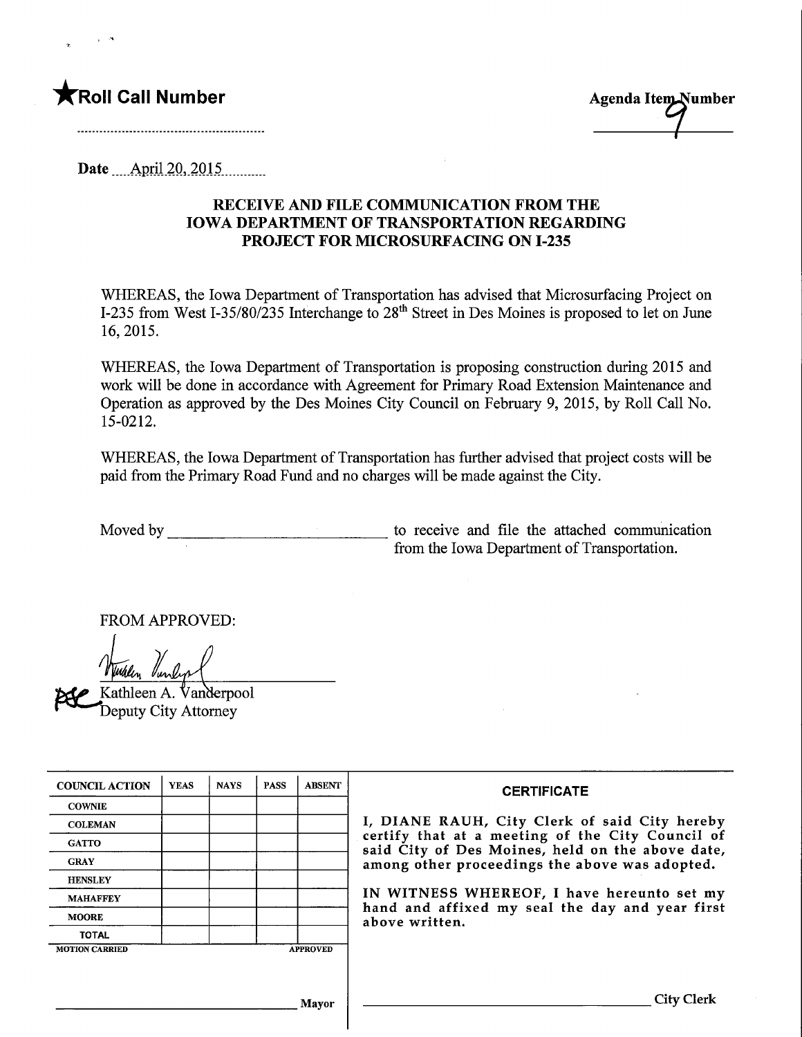



Date April 20, 2015

## RECEIVE AND FILE COMMUNICATION FROM THE IOWA DEPARTMENT OF TRANSPORTATION REGARDING PROJECT FOR MICROSURFACING ON 1-235

WHEREAS, the Iowa Department of Transportation has advised that Microsurfacing Project on 1-235 from West I-35/80/235 Interchange to 28<sup>th</sup> Street in Des Moines is proposed to let on June 16,2015.

WHEREAS, the Iowa Department of Transportation is proposing construction during 2015 and work will be done in accordance with Agreement for Primary Road Extension Maintenance and Operation as approved by the Des Moines City Council on February 9, 2015, by Roll Call No. 15-0212.

WHEREAS, the Iowa Department of Transportation has further advised that project costs will be paid from the Primary Road Fund and no charges will be made against the City.

Moved by to receive and file the attached communication from the Iowa Department of Transportation.

FROM APPROVED:

Kathleen A. Vanderpool Deputy City Attorney

| <b>COUNCIL ACTION</b> | <b>YEAS</b> | <b>NAYS</b> | <b>PASS</b> | <b>ABSENT</b>   | <b>CERTIFICATE</b>                                                                                                                                                                                                                                                                                                         |
|-----------------------|-------------|-------------|-------------|-----------------|----------------------------------------------------------------------------------------------------------------------------------------------------------------------------------------------------------------------------------------------------------------------------------------------------------------------------|
| <b>COWNIE</b>         |             |             |             |                 | I, DIANE RAUH, City Clerk of said City hereby<br>certify that at a meeting of the City Council of<br>said City of Des Moines, held on the above date,<br>among other proceedings the above was adopted.<br>IN WITNESS WHEREOF, I have hereunto set my<br>hand and affixed my seal the day and year first<br>above written. |
| <b>COLEMAN</b>        |             |             |             |                 |                                                                                                                                                                                                                                                                                                                            |
| <b>GATTO</b>          |             |             |             |                 |                                                                                                                                                                                                                                                                                                                            |
| <b>GRAY</b>           |             |             |             |                 |                                                                                                                                                                                                                                                                                                                            |
| <b>HENSLEY</b>        |             |             |             |                 |                                                                                                                                                                                                                                                                                                                            |
| <b>MAHAFFEY</b>       |             |             |             |                 |                                                                                                                                                                                                                                                                                                                            |
| <b>MOORE</b>          |             |             |             |                 |                                                                                                                                                                                                                                                                                                                            |
| <b>TOTAL</b>          |             |             |             |                 |                                                                                                                                                                                                                                                                                                                            |
| <b>MOTION CARRIED</b> |             |             |             | <b>APPROVED</b> |                                                                                                                                                                                                                                                                                                                            |
|                       |             |             |             |                 |                                                                                                                                                                                                                                                                                                                            |
|                       |             |             |             |                 |                                                                                                                                                                                                                                                                                                                            |
| <b>Mavor</b>          |             |             |             |                 | City C                                                                                                                                                                                                                                                                                                                     |